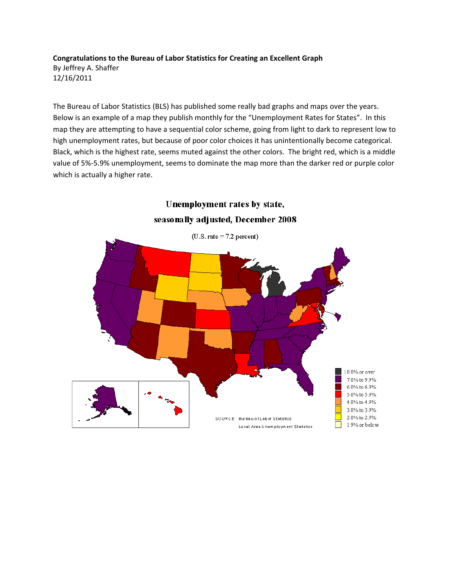**Congratulations to the Bureau of Labor Statistics for Creating an Excellent Graph** By Jeffrey A. Shaffer 12/16/2011

The Bureau of Labor Statistics (BLS) has published some really bad graphs and maps over the years. Below is an example of a map they publish monthly for the "Unemployment Rates for States". In this map they are attempting to have a sequential color scheme, going from light to dark to represent low to high unemployment rates, but because of poor color choices it has unintentionally become categorical. Black, which is the highest rate, seems muted against the other colors. The bright red, which is a middle value of 5%-5.9% unemployment, seems to dominate the map more than the darker red or purple color which is actually a higher rate.



Unemployment rates by state,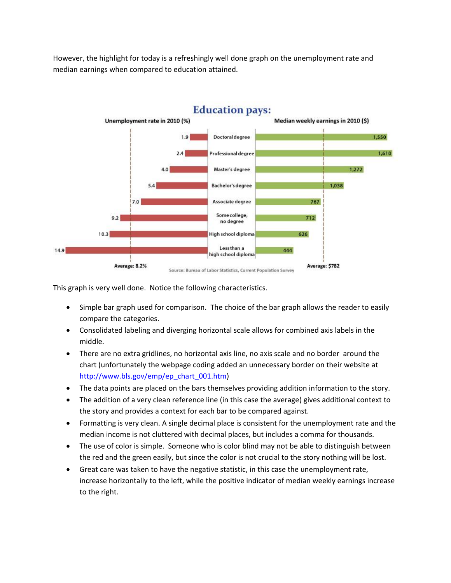However, the highlight for today is a refreshingly well done graph on the unemployment rate and median earnings when compared to education attained.



This graph is very well done. Notice the following characteristics.

- Simple bar graph used for comparison. The choice of the bar graph allows the reader to easily compare the categories.
- Consolidated labeling and diverging horizontal scale allows for combined axis labels in the middle.
- There are no extra gridlines, no horizontal axis line, no axis scale and no border around the chart (unfortunately the webpage coding added an unnecessary border on their website at [http://www.bls.gov/emp/ep\\_chart\\_001.htm\)](http://www.bls.gov/emp/ep_chart_001.htm)
- The data points are placed on the bars themselves providing addition information to the story.
- The addition of a very clean reference line (in this case the average) gives additional context to the story and provides a context for each bar to be compared against.
- Formatting is very clean. A single decimal place is consistent for the unemployment rate and the median income is not cluttered with decimal places, but includes a comma for thousands.
- The use of color is simple. Someone who is color blind may not be able to distinguish between the red and the green easily, but since the color is not crucial to the story nothing will be lost.
- Great care was taken to have the negative statistic, in this case the unemployment rate, increase horizontally to the left, while the positive indicator of median weekly earnings increase to the right.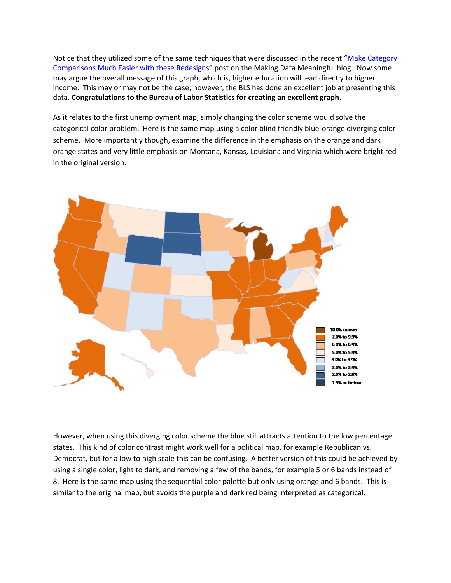Notice that they utilized some of the same techniques that were discussed in the recent "Make Category" [Comparisons Much Easier with these Redesigns](http://makingdatameaningful.com/2011/11/28/make-category-comparisons-much-easier-with-these-redesigns/)" post on the Making Data Meaningful blog. Now some may argue the overall message of this graph, which is, higher education will lead directly to higher income. This may or may not be the case; however, the BLS has done an excellent job at presenting this data. **Congratulations to the Bureau of Labor Statistics for creating an excellent graph.**

As it relates to the first unemployment map, simply changing the color scheme would solve the categorical color problem. Here is the same map using a color blind friendly blue-orange diverging color scheme. More importantly though, examine the difference in the emphasis on the orange and dark orange states and very little emphasis on Montana, Kansas, Louisiana and Virginia which were bright red in the original version.



However, when using this diverging color scheme the blue still attracts attention to the low percentage states. This kind of color contrast might work well for a political map, for example Republican vs. Democrat, but for a low to high scale this can be confusing. A better version of this could be achieved by using a single color, light to dark, and removing a few of the bands, for example 5 or 6 bands instead of 8. Here is the same map using the sequential color palette but only using orange and 6 bands. This is similar to the original map, but avoids the purple and dark red being interpreted as categorical.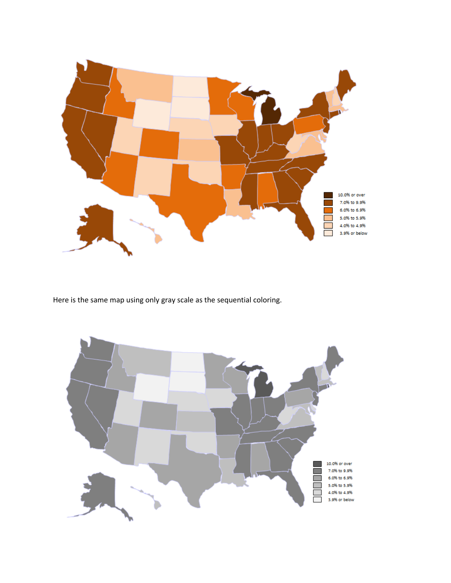

Here is the same map using only gray scale as the sequential coloring.

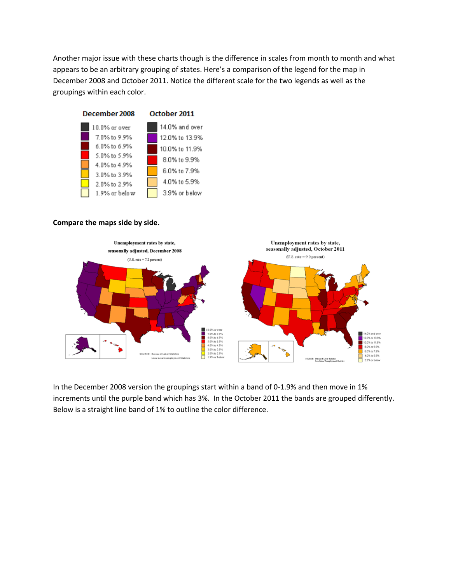Another major issue with these charts though is the difference in scales from month to month and what appears to be an arbitrary grouping of states. Here's a comparison of the legend for the map in December 2008 and October 2011. Notice the different scale for the two legends as well as the groupings within each color.



## **Compare the maps side by side.**



In the December 2008 version the groupings start within a band of 0-1.9% and then move in 1% increments until the purple band which has 3%. In the October 2011 the bands are grouped differently. Below is a straight line band of 1% to outline the color difference.